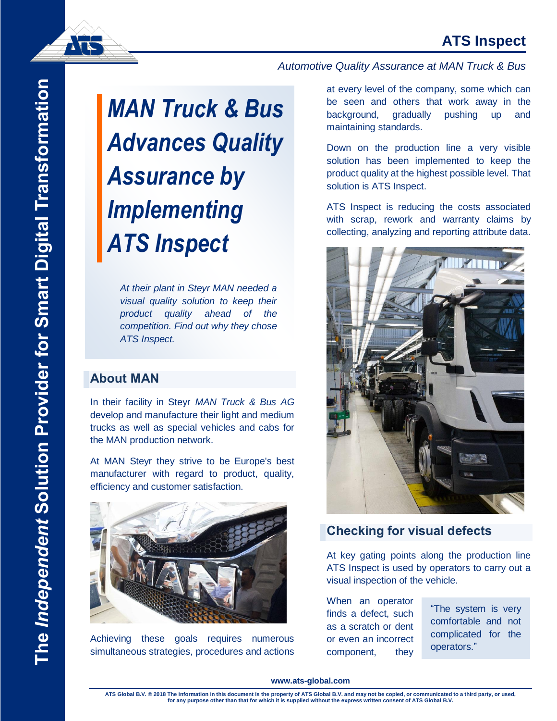# **ATS Inspect**

**ATE** 

# *MAN Truck & Bus Advances Quality Assurance by Implementing ATS Inspect*

*At their plant in Steyr MAN needed a visual quality solution to keep their product quality ahead of the competition. Find out why they chose ATS Inspect.*

## **About MAN**

In their facility in Steyr *MAN Truck & Bus AG* develop and manufacture their light and medium trucks as well as special vehicles and cabs for the MAN production network.

At MAN Steyr they strive to be Europe's best manufacturer with regard to product, quality, efficiency and customer satisfaction.



Achieving these goals requires numerous simultaneous strategies, procedures and actions

#### *Automotive Quality Assurance at MAN Truck & Bus*

up and at every level of the company, some which can be seen and others that work away in the background, gradually pushing maintaining standards.

Down on the production line a very visible solution has been implemented to keep the product quality at the highest possible level. That solution is ATS Inspect.

ATS Inspect is reducing the costs associated with scrap, rework and warranty claims by collecting, analyzing and reporting attribute data.



# **Checking for visual defects**

At key gating points along the production line ATS Inspect is used by operators to carry out a visual inspection of the vehicle.

When an operator finds a defect, such as a scratch or dent or even an incorrect component, they

"The system is very comfortable and not complicated for the operators."

#### **www.ats-global.com**

**ATS Global B.V. © 2018 The information in this document is the property of ATS Global B.V. and may not be copied, or communicated to a third party, or used, for any purpose other than that for which it is supplied without the express written consent of ATS Global B.V.**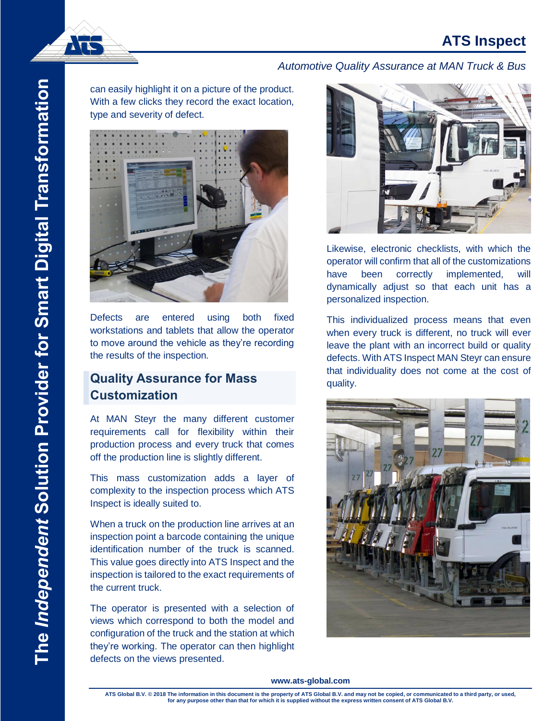

## *Automotive Quality Assurance at MAN Truck & Bus*

can easily highlight it on a picture of the product. With a few clicks they record the exact location, type and severity of defect.



Defects are entered using both fixed workstations and tablets that allow the operator to move around the vehicle as they're recording the results of the inspection.

# **Quality Assurance for Mass Customization**

At MAN Steyr the many different customer requirements call for flexibility within their production process and every truck that comes off the production line is slightly different.

This mass customization adds a layer of complexity to the inspection process which ATS Inspect is ideally suited to.

When a truck on the production line arrives at an inspection point a barcode containing the unique identification number of the truck is scanned. This value goes directly into ATS Inspect and the inspection is tailored to the exact requirements of the current truck.

The operator is presented with a selection of views which correspond to both the model and configuration of the truck and the station at which they're working. The operator can then highlight defects on the views presented.



Likewise, electronic checklists, with which the operator will confirm that all of the customizations have been correctly implemented, will dynamically adjust so that each unit has a personalized inspection.

This individualized process means that even when every truck is different, no truck will ever leave the plant with an incorrect build or quality defects. With ATS Inspect MAN Steyr can ensure that individuality does not come at the cost of quality.



#### **www.ats-global.com**

**ATS Global B.V. © 2018 The information in this document is the property of ATS Global B.V. and may not be copied, or communicated to a third party, or used, for any purpose other than that for which it is supplied without the express written consent of ATS Global B.V.**